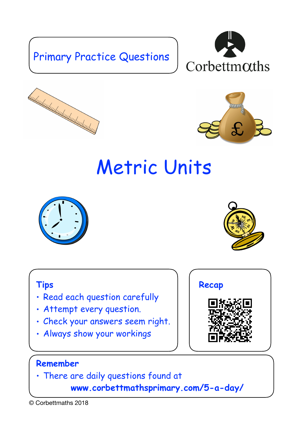## Primary Practice Questions







# Metric Units





### **Tips**

- Read each question carefully
- Attempt every question.
- Check your answers seem right.
- Always show your workings



## **Remember**

• There are daily questions found at

 **www.corbettmathsprimary.com/5-a-day/**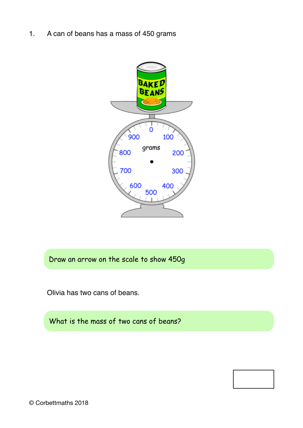1. A can of beans has a mass of 450 grams



Draw an arrow on the scale to show 450g

Olivia has two cans of beans.

What is the mass of two cans of beans?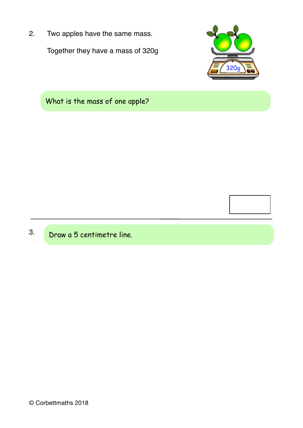2. Two apples have the same mass. Together they have a mass of 320g



What is the mass of one apple?



3. Draw a 5 centimetre line.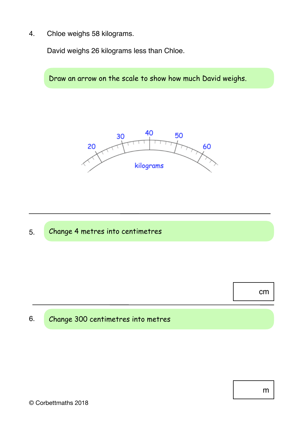4. Chloe weighs 58 kilograms.

David weighs 26 kilograms less than Chloe.

Draw an arrow on the scale to show how much David weighs.





cm

#### 6. Change 300 centimetres into metres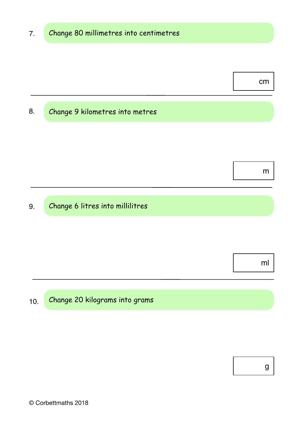cm

#### 8. Change 9 kilometres into metres

m

#### 9. Change 6 litres into millilitres

ml

#### 10. Change 20 kilograms into grams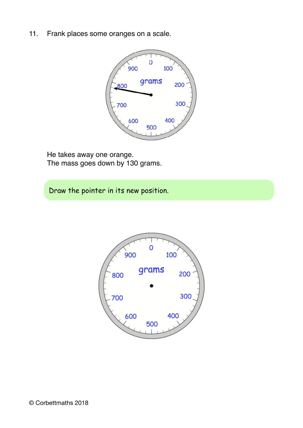11. Frank places some oranges on a scale.



He takes away one orange. The mass goes down by 130 grams.

Draw the pointer in its new position.

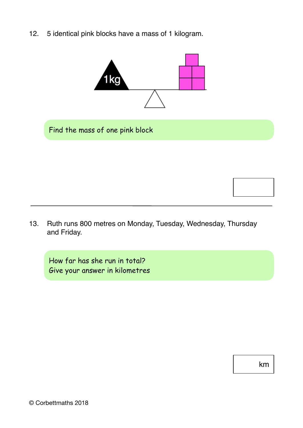12. 5 identical pink blocks have a mass of 1 kilogram.



Find the mass of one pink block

- 
- 13. Ruth runs 800 metres on Monday, Tuesday, Wednesday, Thursday and Friday.

How far has she run in total? Give your answer in kilometres

km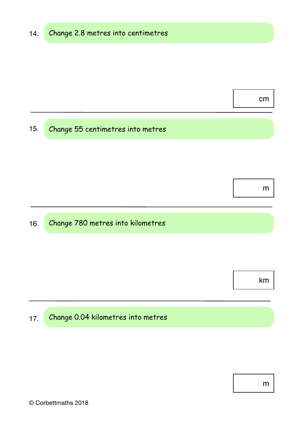15. Change 55 centimetres into metres

m

cm

#### 16. Change 780 metres into kilometres

km

#### 17. Change 0.04 kilometres into metres

m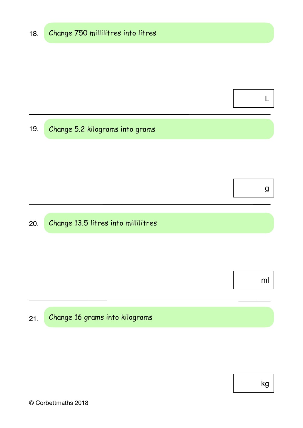19. Change 5.2 kilograms into grams

g

L

#### 20. Change 13.5 litres into millilitres

ml

#### 21. Change 16 grams into kilograms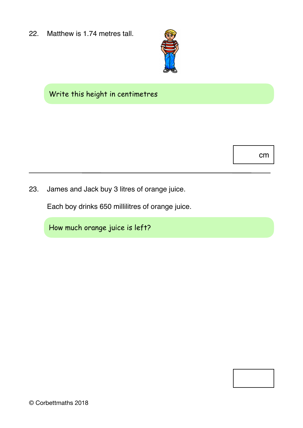22. Matthew is 1.74 metres tall.



## Write this height in centimetres

cm

23. James and Jack buy 3 litres of orange juice.

Each boy drinks 650 millilitres of orange juice.

How much orange juice is left?

© Corbettmaths 2018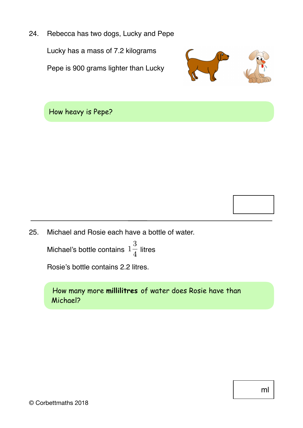24. Rebecca has two dogs, Lucky and Pepe Lucky has a mass of 7.2 kilograms Pepe is 900 grams lighter than Lucky



How heavy is Pepe?



25. Michael and Rosie each have a bottle of water.

Michael's bottle contains  $1\frac{3}{4}$  litres

Rosie's bottle contains 2.2 litres.

How many more **millilitres** of water does Rosie have than Michael?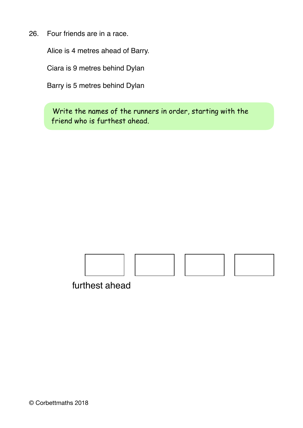26. Four friends are in a race.

Alice is 4 metres ahead of Barry.

Ciara is 9 metres behind Dylan

Barry is 5 metres behind Dylan

Write the names of the runners in order, starting with the friend who is furthest ahead.



furthest ahead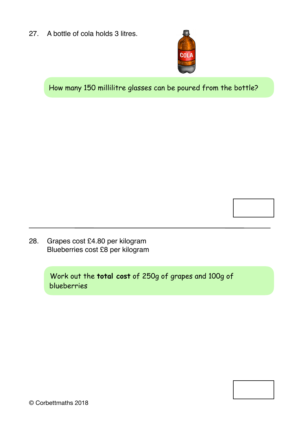27. A bottle of cola holds 3 litres.



How many 150 millilitre glasses can be poured from the bottle?

28. Grapes cost £4.80 per kilogram Blueberries cost £8 per kilogram

> Work out the **total cost** of 250g of grapes and 100g of blueberries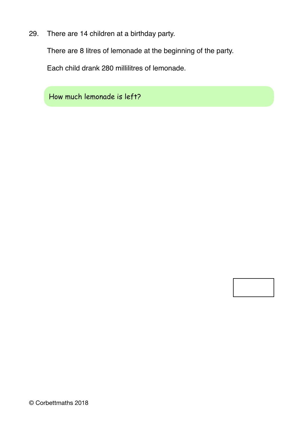29. There are 14 children at a birthday party.

There are 8 litres of lemonade at the beginning of the party.

Each child drank 280 millilitres of lemonade.

How much lemonade is left?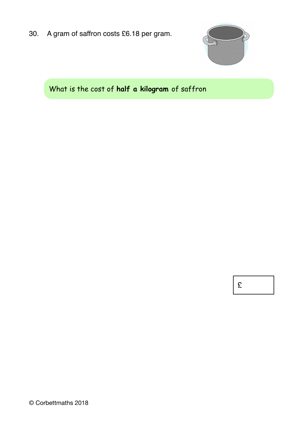30. A gram of saffron costs £6.18 per gram.



## What is the cost of **half a kilogram** of saffron

£

© Corbettmaths 2018